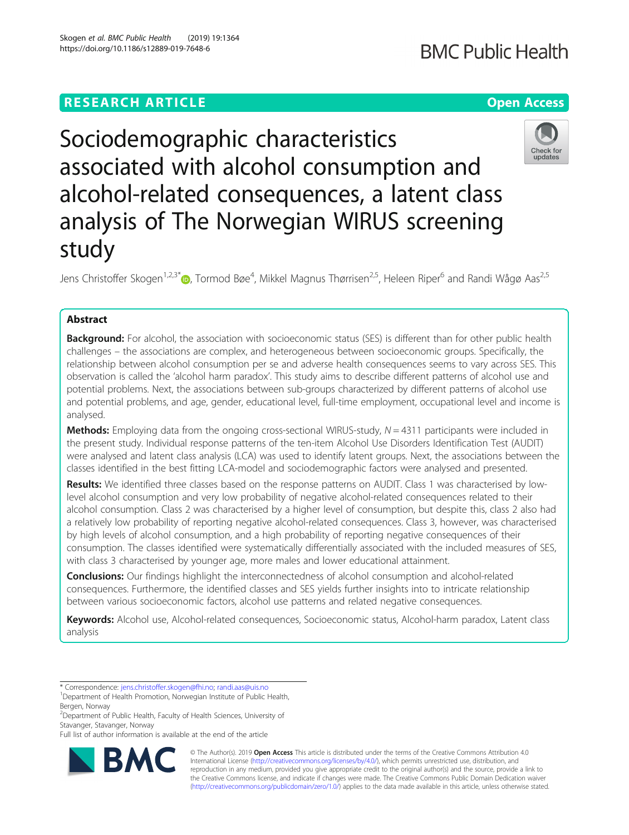# **RESEARCH ARTICLE Example 2014 12:30 The Contract of Contract ACCESS**

# Sociodemographic characteristics associated with alcohol consumption and alcohol-related consequences, a latent class analysis of The Norwegian WIRUS screening study

Jens Christoffer Skogen<sup>1,2,3[\\*](http://orcid.org/0000-0003-0722-5440)</sup>iD, Tormod Bøe<sup>4</sup>, Mikkel Magnus Thørrisen<sup>2,5</sup>, Heleen Riper<sup>6</sup> and Randi Wågø Aas<sup>2,5</sup>

## Abstract

Background: For alcohol, the association with socioeconomic status (SES) is different than for other public health challenges – the associations are complex, and heterogeneous between socioeconomic groups. Specifically, the relationship between alcohol consumption per se and adverse health consequences seems to vary across SES. This observation is called the 'alcohol harm paradox'. This study aims to describe different patterns of alcohol use and potential problems. Next, the associations between sub-groups characterized by different patterns of alcohol use and potential problems, and age, gender, educational level, full-time employment, occupational level and income is analysed.

**Methods:** Employing data from the ongoing cross-sectional WIRUS-study,  $N = 4311$  participants were included in the present study. Individual response patterns of the ten-item Alcohol Use Disorders Identification Test (AUDIT) were analysed and latent class analysis (LCA) was used to identify latent groups. Next, the associations between the classes identified in the best fitting LCA-model and sociodemographic factors were analysed and presented.

Results: We identified three classes based on the response patterns on AUDIT. Class 1 was characterised by lowlevel alcohol consumption and very low probability of negative alcohol-related consequences related to their alcohol consumption. Class 2 was characterised by a higher level of consumption, but despite this, class 2 also had a relatively low probability of reporting negative alcohol-related consequences. Class 3, however, was characterised by high levels of alcohol consumption, and a high probability of reporting negative consequences of their consumption. The classes identified were systematically differentially associated with the included measures of SES, with class 3 characterised by younger age, more males and lower educational attainment.

**Conclusions:** Our findings highlight the interconnectedness of alcohol consumption and alcohol-related consequences. Furthermore, the identified classes and SES yields further insights into to intricate relationship between various socioeconomic factors, alcohol use patterns and related negative consequences.

Keywords: Alcohol use, Alcohol-related consequences, Socioeconomic status, Alcohol-harm paradox, Latent class analysis

\* Correspondence: [jens.christoffer.skogen@fhi.no](mailto:jens.christoffer.skogen@fhi.no); [randi.aas@uis.no](mailto:randi.aas@uis.no) <sup>1</sup>

<sup>2</sup> Department of Public Health, Faculty of Health Sciences, University of Stavanger, Stavanger, Norway





© The Author(s). 2019 **Open Access** This article is distributed under the terms of the Creative Commons Attribution 4.0 International License [\(http://creativecommons.org/licenses/by/4.0/](http://creativecommons.org/licenses/by/4.0/)), which permits unrestricted use, distribution, and reproduction in any medium, provided you give appropriate credit to the original author(s) and the source, provide a link to the Creative Commons license, and indicate if changes were made. The Creative Commons Public Domain Dedication waiver [\(http://creativecommons.org/publicdomain/zero/1.0/](http://creativecommons.org/publicdomain/zero/1.0/)) applies to the data made available in this article, unless otherwise stated.

<sup>&</sup>lt;sup>1</sup>Department of Health Promotion, Norwegian Institute of Public Health, Bergen, Norway

Full list of author information is available at the end of the article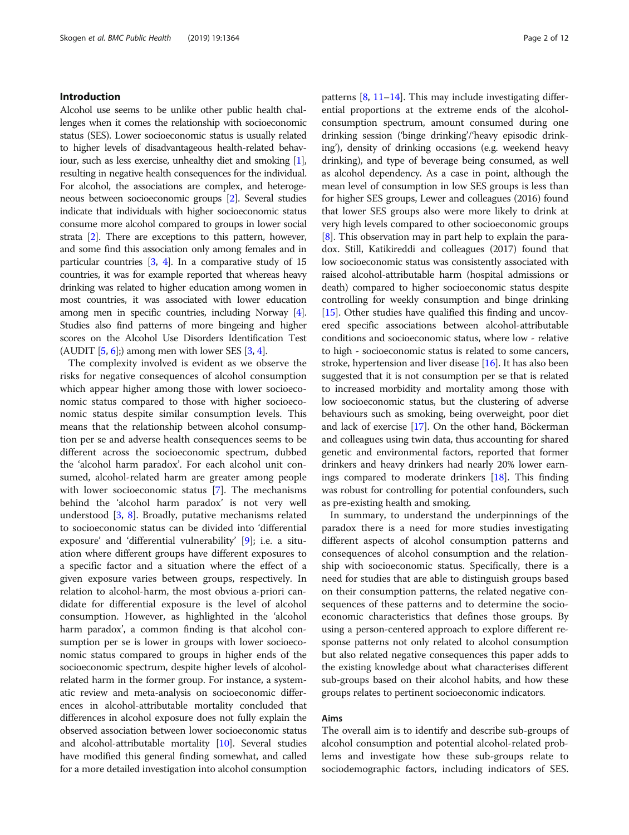#### Introduction

Alcohol use seems to be unlike other public health challenges when it comes the relationship with socioeconomic status (SES). Lower socioeconomic status is usually related to higher levels of disadvantageous health-related behaviour, such as less exercise, unhealthy diet and smoking [[1](#page-10-0)], resulting in negative health consequences for the individual. For alcohol, the associations are complex, and heterogeneous between socioeconomic groups [\[2](#page-10-0)]. Several studies indicate that individuals with higher socioeconomic status consume more alcohol compared to groups in lower social strata [[2](#page-10-0)]. There are exceptions to this pattern, however, and some find this association only among females and in particular countries [[3](#page-10-0), [4\]](#page-10-0). In a comparative study of 15 countries, it was for example reported that whereas heavy drinking was related to higher education among women in most countries, it was associated with lower education among men in specific countries, including Norway [[4](#page-10-0)]. Studies also find patterns of more bingeing and higher scores on the Alcohol Use Disorders Identification Test (AUDIT  $[5, 6]$  $[5, 6]$  $[5, 6]$  $[5, 6]$ ;) among men with lower SES  $[3, 4]$  $[3, 4]$  $[3, 4]$  $[3, 4]$ .

The complexity involved is evident as we observe the risks for negative consequences of alcohol consumption which appear higher among those with lower socioeconomic status compared to those with higher socioeconomic status despite similar consumption levels. This means that the relationship between alcohol consumption per se and adverse health consequences seems to be different across the socioeconomic spectrum, dubbed the 'alcohol harm paradox'. For each alcohol unit consumed, alcohol-related harm are greater among people with lower socioeconomic status [[7\]](#page-10-0). The mechanisms behind the 'alcohol harm paradox' is not very well understood [\[3,](#page-10-0) [8\]](#page-10-0). Broadly, putative mechanisms related to socioeconomic status can be divided into 'differential exposure' and 'differential vulnerability' [[9\]](#page-10-0); i.e. a situation where different groups have different exposures to a specific factor and a situation where the effect of a given exposure varies between groups, respectively. In relation to alcohol-harm, the most obvious a-priori candidate for differential exposure is the level of alcohol consumption. However, as highlighted in the 'alcohol harm paradox', a common finding is that alcohol consumption per se is lower in groups with lower socioeconomic status compared to groups in higher ends of the socioeconomic spectrum, despite higher levels of alcoholrelated harm in the former group. For instance, a systematic review and meta-analysis on socioeconomic differences in alcohol-attributable mortality concluded that differences in alcohol exposure does not fully explain the observed association between lower socioeconomic status and alcohol-attributable mortality [[10](#page-10-0)]. Several studies have modified this general finding somewhat, and called for a more detailed investigation into alcohol consumption patterns  $[8, 11-14]$  $[8, 11-14]$  $[8, 11-14]$  $[8, 11-14]$  $[8, 11-14]$  $[8, 11-14]$ . This may include investigating differential proportions at the extreme ends of the alcoholconsumption spectrum, amount consumed during one drinking session ('binge drinking'/'heavy episodic drinking'), density of drinking occasions (e.g. weekend heavy drinking), and type of beverage being consumed, as well as alcohol dependency. As a case in point, although the mean level of consumption in low SES groups is less than for higher SES groups, Lewer and colleagues (2016) found that lower SES groups also were more likely to drink at very high levels compared to other socioeconomic groups [[8\]](#page-10-0). This observation may in part help to explain the paradox. Still, Katikireddi and colleagues (2017) found that low socioeconomic status was consistently associated with raised alcohol-attributable harm (hospital admissions or death) compared to higher socioeconomic status despite controlling for weekly consumption and binge drinking [[15](#page-10-0)]. Other studies have qualified this finding and uncovered specific associations between alcohol-attributable conditions and socioeconomic status, where low - relative to high - socioeconomic status is related to some cancers, stroke, hypertension and liver disease [\[16\]](#page-11-0). It has also been suggested that it is not consumption per se that is related to increased morbidity and mortality among those with low socioeconomic status, but the clustering of adverse behaviours such as smoking, being overweight, poor diet and lack of exercise [\[17\]](#page-11-0). On the other hand, Böckerman and colleagues using twin data, thus accounting for shared genetic and environmental factors, reported that former drinkers and heavy drinkers had nearly 20% lower earnings compared to moderate drinkers [[18](#page-11-0)]. This finding was robust for controlling for potential confounders, such as pre-existing health and smoking.

In summary, to understand the underpinnings of the paradox there is a need for more studies investigating different aspects of alcohol consumption patterns and consequences of alcohol consumption and the relationship with socioeconomic status. Specifically, there is a need for studies that are able to distinguish groups based on their consumption patterns, the related negative consequences of these patterns and to determine the socioeconomic characteristics that defines those groups. By using a person-centered approach to explore different response patterns not only related to alcohol consumption but also related negative consequences this paper adds to the existing knowledge about what characterises different sub-groups based on their alcohol habits, and how these groups relates to pertinent socioeconomic indicators.

#### Aims

The overall aim is to identify and describe sub-groups of alcohol consumption and potential alcohol-related problems and investigate how these sub-groups relate to sociodemographic factors, including indicators of SES.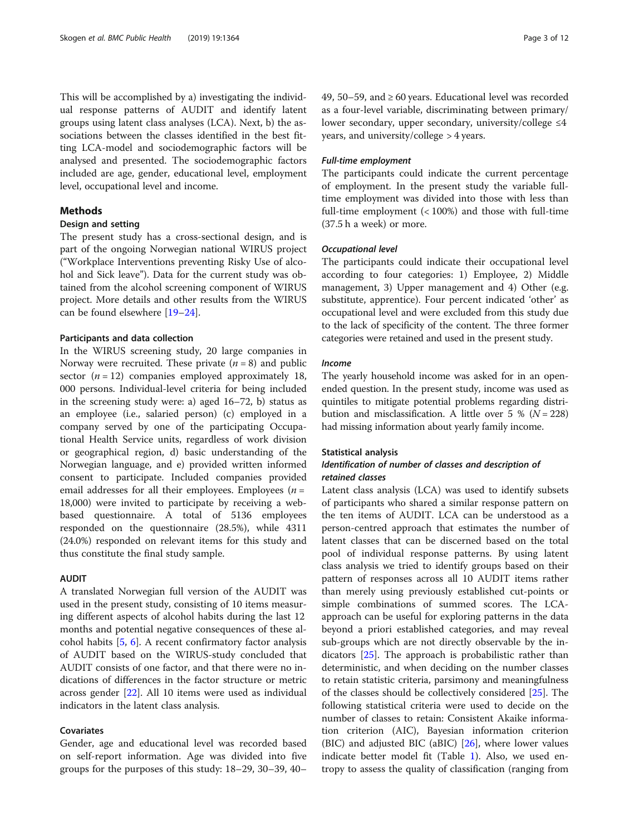This will be accomplished by a) investigating the individual response patterns of AUDIT and identify latent groups using latent class analyses (LCA). Next, b) the associations between the classes identified in the best fitting LCA-model and sociodemographic factors will be analysed and presented. The sociodemographic factors included are age, gender, educational level, employment level, occupational level and income.

#### Methods

#### Design and setting

The present study has a cross-sectional design, and is part of the ongoing Norwegian national WIRUS project ("Workplace Interventions preventing Risky Use of alcohol and Sick leave"). Data for the current study was obtained from the alcohol screening component of WIRUS project. More details and other results from the WIRUS can be found elsewhere [\[19](#page-11-0)–[24\]](#page-11-0).

#### Participants and data collection

In the WIRUS screening study, 20 large companies in Norway were recruited. These private  $(n = 8)$  and public sector  $(n = 12)$  companies employed approximately 18, 000 persons. Individual-level criteria for being included in the screening study were: a) aged 16–72, b) status as an employee (i.e., salaried person) (c) employed in a company served by one of the participating Occupational Health Service units, regardless of work division or geographical region, d) basic understanding of the Norwegian language, and e) provided written informed consent to participate. Included companies provided email addresses for all their employees. Employees ( $n =$ 18,000) were invited to participate by receiving a webbased questionnaire. A total of 5136 employees responded on the questionnaire (28.5%), while 4311 (24.0%) responded on relevant items for this study and thus constitute the final study sample.

#### AUDIT

A translated Norwegian full version of the AUDIT was used in the present study, consisting of 10 items measuring different aspects of alcohol habits during the last 12 months and potential negative consequences of these alcohol habits  $[5, 6]$  $[5, 6]$  $[5, 6]$ . A recent confirmatory factor analysis of AUDIT based on the WIRUS-study concluded that AUDIT consists of one factor, and that there were no indications of differences in the factor structure or metric across gender [[22\]](#page-11-0). All 10 items were used as individual indicators in the latent class analysis.

#### Covariates

Gender, age and educational level was recorded based on self-report information. Age was divided into five groups for the purposes of this study: 18–29, 30–39, 40–

49, 50–59, and  $\geq 60$  years. Educational level was recorded as a four-level variable, discriminating between primary/ lower secondary, upper secondary, university/college ≤4 years, and university/college > 4 years.

#### Full-time employment

The participants could indicate the current percentage of employment. In the present study the variable fulltime employment was divided into those with less than full-time employment (< 100%) and those with full-time (37.5 h a week) or more.

#### Occupational level

The participants could indicate their occupational level according to four categories: 1) Employee, 2) Middle management, 3) Upper management and 4) Other (e.g. substitute, apprentice). Four percent indicated 'other' as occupational level and were excluded from this study due to the lack of specificity of the content. The three former categories were retained and used in the present study.

### Income

The yearly household income was asked for in an openended question. In the present study, income was used as quintiles to mitigate potential problems regarding distribution and misclassification. A little over 5 % ( $N = 228$ ) had missing information about yearly family income.

#### Statistical analysis

#### Identification of number of classes and description of retained classes

Latent class analysis (LCA) was used to identify subsets of participants who shared a similar response pattern on the ten items of AUDIT. LCA can be understood as a person-centred approach that estimates the number of latent classes that can be discerned based on the total pool of individual response patterns. By using latent class analysis we tried to identify groups based on their pattern of responses across all 10 AUDIT items rather than merely using previously established cut-points or simple combinations of summed scores. The LCAapproach can be useful for exploring patterns in the data beyond a priori established categories, and may reveal sub-groups which are not directly observable by the indicators [\[25](#page-11-0)]. The approach is probabilistic rather than deterministic, and when deciding on the number classes to retain statistic criteria, parsimony and meaningfulness of the classes should be collectively considered [[25\]](#page-11-0). The following statistical criteria were used to decide on the number of classes to retain: Consistent Akaike information criterion (AIC), Bayesian information criterion (BIC) and adjusted BIC (aBIC) [[26\]](#page-11-0), where lower values indicate better model fit (Table [1](#page-3-0)). Also, we used entropy to assess the quality of classification (ranging from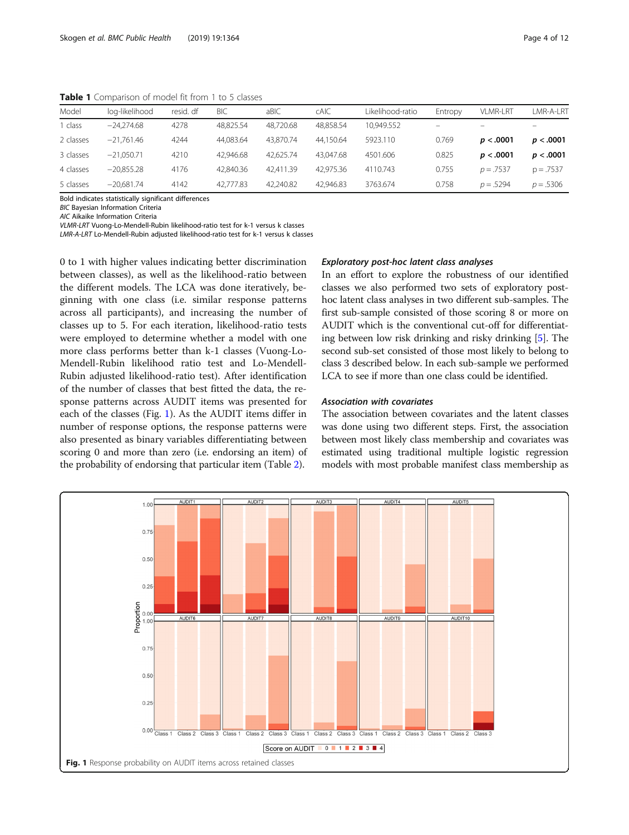| Model     | log-likelihood | resid. df | <b>BIC</b> | aBIC      | <b>CAIC</b> | Likelihood-ratio | Entropy                  | <b>VLMR-LRT</b>          | LMR-A-LRT   |
|-----------|----------------|-----------|------------|-----------|-------------|------------------|--------------------------|--------------------------|-------------|
| class     | $-24.274.68$   | 4278      | 48.825.54  | 48.720.68 | 48.858.54   | 10.949.552       | $\overline{\phantom{m}}$ | $\overline{\phantom{0}}$ | $-$         |
| 2 classes | $-21.761.46$   | 4244      | 44.083.64  | 43.870.74 | 44.150.64   | 5923.110         | 0.769                    | p < .0001                | p < .0001   |
| 3 classes | $-21.050.71$   | 4210      | 42.946.68  | 42.625.74 | 43.047.68   | 4501.606         | 0.825                    | p < .0001                | p < .0001   |
| 4 classes | $-20.855.28$   | 4176      | 42.840.36  | 42.411.39 | 42.975.36   | 4110.743         | 0.755                    | $p = .7537$              | $p = .7537$ |
| 5 classes | $-20.681.74$   | 4142      | 42.777.83  | 42.240.82 | 42.946.83   | 3763.674         | 0.758                    | $p = .5294$              | $p = .5306$ |

<span id="page-3-0"></span>Table 1 Comparison of model fit from 1 to 5 classes

Bold indicates statistically significant differences

BIC Bayesian Information Criteria

AIC Aikaike Information Criteria

VLMR-LRT Vuong-Lo-Mendell-Rubin likelihood-ratio test for k-1 versus k classes

LMR-A-LRT Lo-Mendell-Rubin adjusted likelihood-ratio test for k-1 versus k classes

0 to 1 with higher values indicating better discrimination between classes), as well as the likelihood-ratio between the different models. The LCA was done iteratively, beginning with one class (i.e. similar response patterns across all participants), and increasing the number of classes up to 5. For each iteration, likelihood-ratio tests were employed to determine whether a model with one more class performs better than k-1 classes (Vuong-Lo-Mendell-Rubin likelihood ratio test and Lo-Mendell-Rubin adjusted likelihood-ratio test). After identification of the number of classes that best fitted the data, the response patterns across AUDIT items was presented for each of the classes (Fig. 1). As the AUDIT items differ in number of response options, the response patterns were also presented as binary variables differentiating between scoring 0 and more than zero (i.e. endorsing an item) of the probability of endorsing that particular item (Table [2](#page-4-0)).

#### Exploratory post-hoc latent class analyses

In an effort to explore the robustness of our identified classes we also performed two sets of exploratory posthoc latent class analyses in two different sub-samples. The first sub-sample consisted of those scoring 8 or more on AUDIT which is the conventional cut-off for differentiating between low risk drinking and risky drinking [\[5](#page-10-0)]. The second sub-set consisted of those most likely to belong to class 3 described below. In each sub-sample we performed LCA to see if more than one class could be identified.

#### Association with covariates

The association between covariates and the latent classes was done using two different steps. First, the association between most likely class membership and covariates was estimated using traditional multiple logistic regression models with most probable manifest class membership as

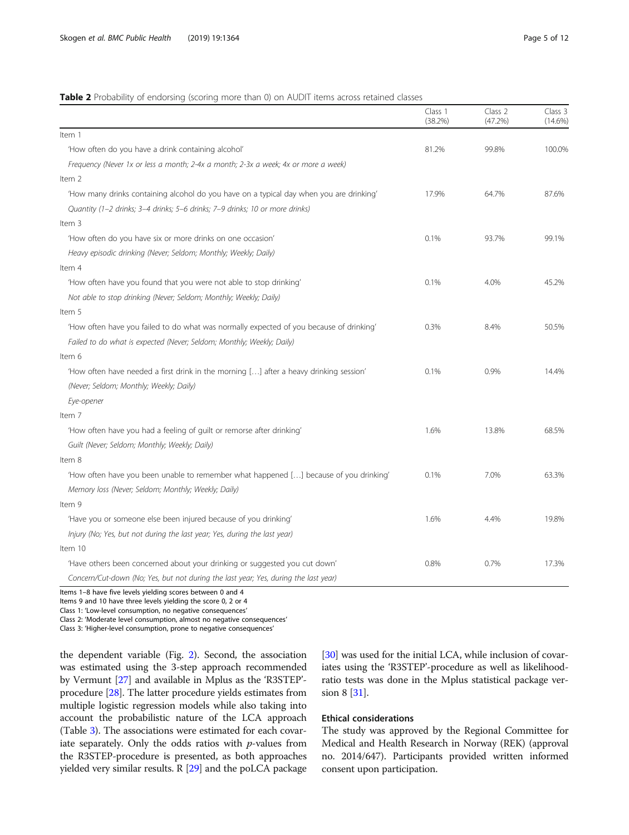#### <span id="page-4-0"></span>Table 2 Probability of endorsing (scoring more than 0) on AUDIT items across retained classes

|                                                                                         | Class 1<br>(38.2%) | Class 2<br>(47.2%) | Class 3<br>$(14.6\%)$ |
|-----------------------------------------------------------------------------------------|--------------------|--------------------|-----------------------|
| Item 1                                                                                  |                    |                    |                       |
| 'How often do you have a drink containing alcohol'                                      | 81.2%              | 99.8%              | 100.0%                |
| Frequency (Never 1x or less a month; 2-4x a month; 2-3x a week; 4x or more a week)      |                    |                    |                       |
| Item 2                                                                                  |                    |                    |                       |
| 'How many drinks containing alcohol do you have on a typical day when you are drinking' | 17.9%              | 64.7%              | 87.6%                 |
| Quantity (1-2 drinks; 3-4 drinks; 5-6 drinks; 7-9 drinks; 10 or more drinks)            |                    |                    |                       |
| Item 3                                                                                  |                    |                    |                       |
| 'How often do you have six or more drinks on one occasion'                              | 0.1%               | 93.7%              | 99.1%                 |
| Heavy episodic drinking (Never; Seldom; Monthly; Weekly; Daily)                         |                    |                    |                       |
| Item 4                                                                                  |                    |                    |                       |
| 'How often have you found that you were not able to stop drinking'                      | 0.1%               | 4.0%               | 45.2%                 |
| Not able to stop drinking (Never; Seldom; Monthly; Weekly; Daily)                       |                    |                    |                       |
| Item 5                                                                                  |                    |                    |                       |
| 'How often have you failed to do what was normally expected of you because of drinking' | 0.3%               | 8.4%               | 50.5%                 |
| Failed to do what is expected (Never; Seldom; Monthly; Weekly; Daily)                   |                    |                    |                       |
| Item 6                                                                                  |                    |                    |                       |
| 'How often have needed a first drink in the morning [] after a heavy drinking session'  | 0.1%               | 0.9%               | 14.4%                 |
| (Never; Seldom; Monthly; Weekly; Daily)                                                 |                    |                    |                       |
| Eye-opener                                                                              |                    |                    |                       |
| Item 7                                                                                  |                    |                    |                       |
| 'How often have you had a feeling of guilt or remorse after drinking'                   | 1.6%               | 13.8%              | 68.5%                 |
| Guilt (Never; Seldom; Monthly; Weekly; Daily)                                           |                    |                    |                       |
| Item 8                                                                                  |                    |                    |                       |
| 'How often have you been unable to remember what happened [] because of you drinking'   | 0.1%               | 7.0%               | 63.3%                 |
| Memory loss (Never; Seldom; Monthly; Weekly; Daily)                                     |                    |                    |                       |
| Item 9                                                                                  |                    |                    |                       |
| 'Have you or someone else been injured because of you drinking'                         | 1.6%               | 4.4%               | 19.8%                 |
| Injury (No; Yes, but not during the last year; Yes, during the last year)               |                    |                    |                       |
| Item 10                                                                                 |                    |                    |                       |
| 'Have others been concerned about your drinking or suggested you cut down'              | 0.8%               | 0.7%               | 17.3%                 |
| Concern/Cut-down (No; Yes, but not during the last year; Yes, during the last year)     |                    |                    |                       |

Items 1–8 have five levels yielding scores between 0 and 4

Items 9 and 10 have three levels yielding the score 0, 2 or 4

Class 1: 'Low-level consumption, no negative consequences'

Class 2: 'Moderate level consumption, almost no negative consequences'

Class 3: 'Higher-level consumption, prone to negative consequences'

the dependent variable (Fig. [2\)](#page-5-0). Second, the association was estimated using the 3-step approach recommended by Vermunt [\[27\]](#page-11-0) and available in Mplus as the 'R3STEP' procedure [\[28\]](#page-11-0). The latter procedure yields estimates from multiple logistic regression models while also taking into account the probabilistic nature of the LCA approach (Table [3\)](#page-6-0). The associations were estimated for each covariate separately. Only the odds ratios with  $p$ -values from the R3STEP-procedure is presented, as both approaches yielded very similar results. R [\[29\]](#page-11-0) and the poLCA package [[30](#page-11-0)] was used for the initial LCA, while inclusion of covariates using the 'R3STEP'-procedure as well as likelihoodratio tests was done in the Mplus statistical package version 8 [\[31](#page-11-0)].

### Ethical considerations

The study was approved by the Regional Committee for Medical and Health Research in Norway (REK) (approval no. 2014/647). Participants provided written informed consent upon participation.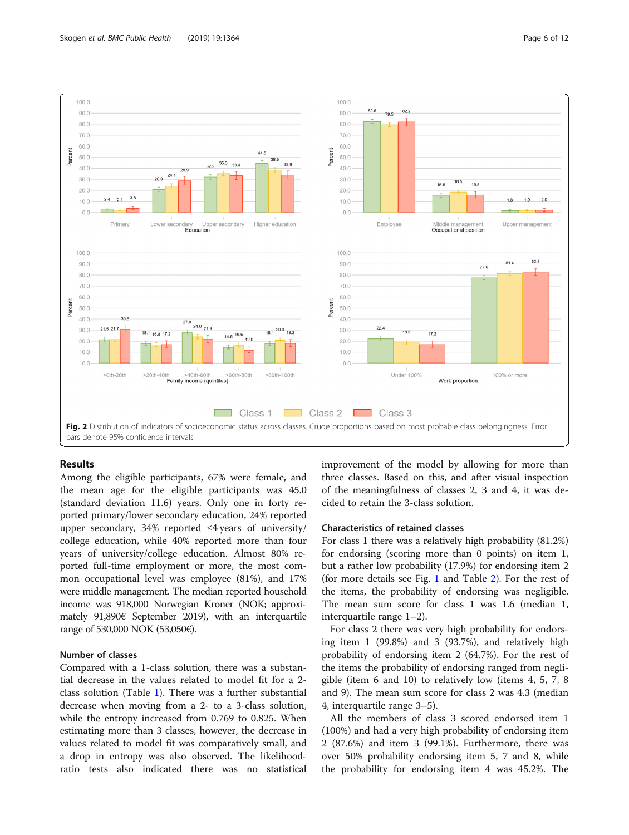

<span id="page-5-0"></span>

#### Results

Among the eligible participants, 67% were female, and the mean age for the eligible participants was 45.0 (standard deviation 11.6) years. Only one in forty reported primary/lower secondary education, 24% reported upper secondary, 34% reported  $\leq 4$  years of university/ college education, while 40% reported more than four years of university/college education. Almost 80% reported full-time employment or more, the most common occupational level was employee (81%), and 17% were middle management. The median reported household income was 918,000 Norwegian Kroner (NOK; approximately 91,890€ September 2019), with an interquartile range of 530,000 NOK (53,050€).

#### Number of classes

Compared with a 1-class solution, there was a substantial decrease in the values related to model fit for a 2 class solution (Table [1\)](#page-3-0). There was a further substantial decrease when moving from a 2- to a 3-class solution, while the entropy increased from 0.769 to 0.825. When estimating more than 3 classes, however, the decrease in values related to model fit was comparatively small, and a drop in entropy was also observed. The likelihoodratio tests also indicated there was no statistical improvement of the model by allowing for more than three classes. Based on this, and after visual inspection of the meaningfulness of classes 2, 3 and 4, it was decided to retain the 3-class solution.

#### Characteristics of retained classes

For class 1 there was a relatively high probability (81.2%) for endorsing (scoring more than 0 points) on item 1, but a rather low probability (17.9%) for endorsing item 2 (for more details see Fig. [1](#page-3-0) and Table [2\)](#page-4-0). For the rest of the items, the probability of endorsing was negligible. The mean sum score for class 1 was 1.6 (median 1, interquartile range 1–2).

For class 2 there was very high probability for endorsing item 1 (99.8%) and 3 (93.7%), and relatively high probability of endorsing item 2 (64.7%). For the rest of the items the probability of endorsing ranged from negligible (item 6 and 10) to relatively low (items 4, 5, 7, 8 and 9). The mean sum score for class 2 was 4.3 (median 4, interquartile range 3–5).

All the members of class 3 scored endorsed item 1 (100%) and had a very high probability of endorsing item 2 (87.6%) and item 3 (99.1%). Furthermore, there was over 50% probability endorsing item 5, 7 and 8, while the probability for endorsing item 4 was 45.2%. The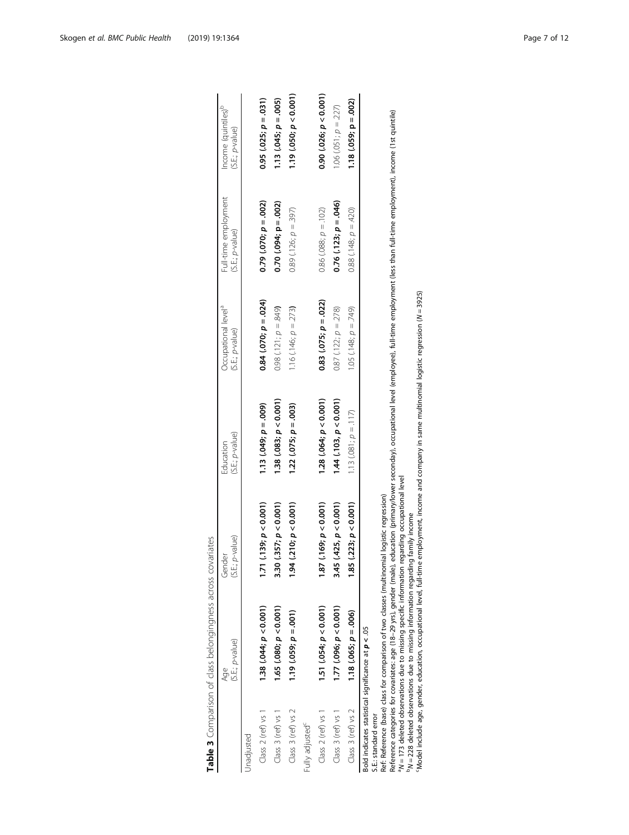<span id="page-6-0"></span>

|                                                                             | (S.E.; p-value)<br>Age                                                                                                                                                                                                                                                                                                                                                                                                                       | (S.E.; p-value)<br>Gender          | (S.E.; p-value)<br>Education                                                      | Occupational level <sup>a</sup><br>(S.E.; p-value) | Full-time employment<br>(S.E.; p-value)                                                                                                         | Income (quintiles) <sup>b</sup><br>(S.E.; p-value) |
|-----------------------------------------------------------------------------|----------------------------------------------------------------------------------------------------------------------------------------------------------------------------------------------------------------------------------------------------------------------------------------------------------------------------------------------------------------------------------------------------------------------------------------------|------------------------------------|-----------------------------------------------------------------------------------|----------------------------------------------------|-------------------------------------------------------------------------------------------------------------------------------------------------|----------------------------------------------------|
| Jnadjusted                                                                  |                                                                                                                                                                                                                                                                                                                                                                                                                                              |                                    |                                                                                   |                                                    |                                                                                                                                                 |                                                    |
| Class 2 (ref) vs 1                                                          | 1.38 (.044; $p < 0.001$ )                                                                                                                                                                                                                                                                                                                                                                                                                    | (139; p < 0.001)<br>ד.<br>ב        | $1.13(.049; p = .009)$                                                            | $0.84(.070; p = .024)$                             | $0.79$ $(0.070; p = .002)$                                                                                                                      | $0.95(.025; p = .031)$                             |
| Class 3 (ref) vs 1                                                          | 1.65 (.080; $p < 0.001$ )                                                                                                                                                                                                                                                                                                                                                                                                                    | 3.30 (.357; $p < 0.001$ )          | 1.38(.083; p < 0.001)                                                             | $0.98(.121; p = .849)$                             | $0.70$ $(.094; p = .002)$                                                                                                                       | 1.13 $(.045; p = .005)$                            |
| Class 3 (ref) vs 2                                                          | $1.19$ $(0.059; p = 0.01)$                                                                                                                                                                                                                                                                                                                                                                                                                   | (210; p < 0.001)<br>$\frac{34}{5}$ | $1.22(.075; p = .003)$                                                            | 1.16 (.146; $p = 273$ )                            | $0.89(126; p = 397)$                                                                                                                            | 1.19(.050; p < 0.001)                              |
| Fully adjusted <sup>c</sup>                                                 |                                                                                                                                                                                                                                                                                                                                                                                                                                              |                                    |                                                                                   |                                                    |                                                                                                                                                 |                                                    |
| Class $2$ (ref) vs $1$                                                      | 1.51 $(.054; p < 0.001)$                                                                                                                                                                                                                                                                                                                                                                                                                     | (169; p < 0.001)<br>1.87           | 1.28 $(.064; p < 0.001)$                                                          | $0.83$ (.075; $p = .022$ )                         | $0.86$ (.088; $p = 102$ )                                                                                                                       | $0.90$ (.026; $p < 0.001$ )                        |
| Class 3 (ref) vs 1                                                          | $1.77$ (.096; $p < 0.001$ )                                                                                                                                                                                                                                                                                                                                                                                                                  | (425, p < 0.001)<br>3.45           | $1.44$ $(.103, p < 0.001)$                                                        | $0.87$ (.122; $p = 278$ )                          | $0.76(.123; p = .046)$                                                                                                                          | 1.06 $(.051; p = .227)$                            |
| Class 3 (ref) vs 2                                                          | $1.18(.065; p = .006)$                                                                                                                                                                                                                                                                                                                                                                                                                       | (223; p < 0.001)<br><b>1.85</b>    | 1.13 $(.081, p = .117)$                                                           | 1.05 $(148; p = .749)$                             | $0.88$ (.148; $p = 420$ )                                                                                                                       | $1.18(.059; p = .002)$                             |
| Bold indicates statistical significance at $p < 05$<br>S.E.: standard error | <sup>a</sup> N = 173 deleted observations due to missing specific information regarding occupational level<br>Ref: Reference (base) class for comparison of two classes (multinomial logistic regression)<br>PN = 228 deleted observations due to missing information regarding family income<br>Model include age, gender, education, occupational level, full-time<br>Reference categories for covariates: age (18-29 yrs), gender (male), |                                    | employment, income and company in same multinomial logistic regression (N = 3925) |                                                    | education (primary/lower seconday), occupational level (employee), full-time employment (less than full-time employment), income (1st quintile) |                                                    |

Table 3 Comparison of class belongingness across covariates

Table 3 Comparison of class belongingness across covariates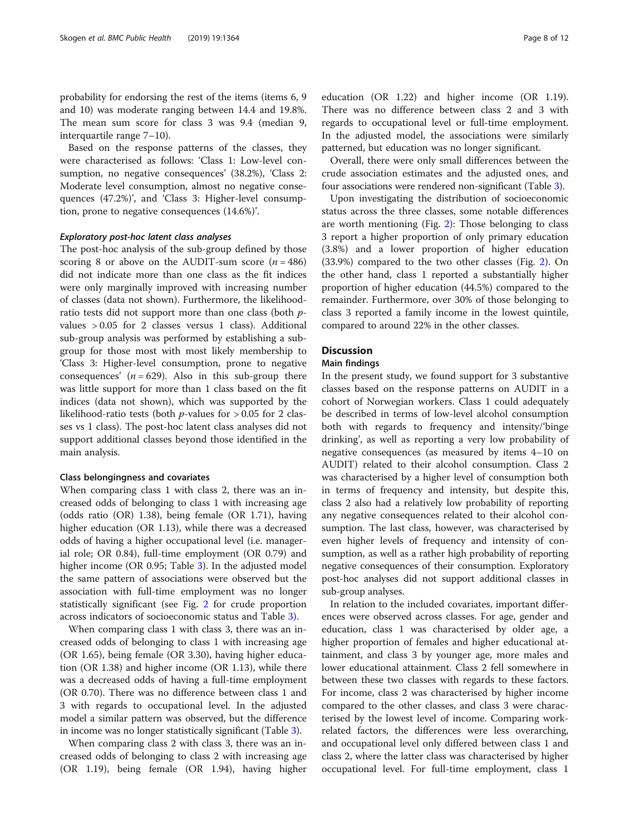probability for endorsing the rest of the items (items 6, 9 and 10) was moderate ranging between 14.4 and 19.8%. The mean sum score for class 3 was 9.4 (median 9, interquartile range 7–10).

Based on the response patterns of the classes, they were characterised as follows: 'Class 1: Low-level consumption, no negative consequences' (38.2%), 'Class 2: Moderate level consumption, almost no negative consequences (47.2%)', and 'Class 3: Higher-level consumption, prone to negative consequences (14.6%)'.

#### Exploratory post-hoc latent class analyses

The post-hoc analysis of the sub-group defined by those scoring 8 or above on the AUDIT-sum score  $(n = 486)$ did not indicate more than one class as the fit indices were only marginally improved with increasing number of classes (data not shown). Furthermore, the likelihoodratio tests did not support more than one class (both pvalues > 0.05 for 2 classes versus 1 class). Additional sub-group analysis was performed by establishing a subgroup for those most with most likely membership to 'Class 3: Higher-level consumption, prone to negative consequences'  $(n = 629)$ . Also in this sub-group there was little support for more than 1 class based on the fit indices (data not shown), which was supported by the likelihood-ratio tests (both  $p$ -values for  $> 0.05$  for 2 classes vs 1 class). The post-hoc latent class analyses did not support additional classes beyond those identified in the main analysis.

#### Class belongingness and covariates

When comparing class 1 with class 2, there was an increased odds of belonging to class 1 with increasing age (odds ratio (OR) 1.38), being female (OR 1.71), having higher education (OR 1.13), while there was a decreased odds of having a higher occupational level (i.e. managerial role; OR 0.84), full-time employment (OR 0.79) and higher income (OR 0.95; Table [3\)](#page-6-0). In the adjusted model the same pattern of associations were observed but the association with full-time employment was no longer statistically significant (see Fig. [2](#page-5-0) for crude proportion across indicators of socioeconomic status and Table [3\)](#page-6-0).

When comparing class 1 with class 3, there was an increased odds of belonging to class 1 with increasing age (OR 1.65), being female (OR 3.30), having higher education (OR 1.38) and higher income (OR 1.13), while there was a decreased odds of having a full-time employment (OR 0.70). There was no difference between class 1 and 3 with regards to occupational level. In the adjusted model a similar pattern was observed, but the difference in income was no longer statistically significant (Table [3\)](#page-6-0).

When comparing class 2 with class 3, there was an increased odds of belonging to class 2 with increasing age (OR 1.19), being female (OR 1.94), having higher

education (OR 1.22) and higher income (OR 1.19). There was no difference between class 2 and 3 with regards to occupational level or full-time employment. In the adjusted model, the associations were similarly patterned, but education was no longer significant.

Overall, there were only small differences between the crude association estimates and the adjusted ones, and four associations were rendered non-significant (Table [3\)](#page-6-0).

Upon investigating the distribution of socioeconomic status across the three classes, some notable differences are worth mentioning (Fig. [2\)](#page-5-0): Those belonging to class 3 report a higher proportion of only primary education (3.8%) and a lower proportion of higher education (33.9%) compared to the two other classes (Fig. [2](#page-5-0)). On the other hand, class 1 reported a substantially higher proportion of higher education (44.5%) compared to the remainder. Furthermore, over 30% of those belonging to class 3 reported a family income in the lowest quintile, compared to around 22% in the other classes.

#### **Discussion**

#### Main findings

In the present study, we found support for 3 substantive classes based on the response patterns on AUDIT in a cohort of Norwegian workers. Class 1 could adequately be described in terms of low-level alcohol consumption both with regards to frequency and intensity/'binge drinking', as well as reporting a very low probability of negative consequences (as measured by items 4–10 on AUDIT) related to their alcohol consumption. Class 2 was characterised by a higher level of consumption both in terms of frequency and intensity, but despite this, class 2 also had a relatively low probability of reporting any negative consequences related to their alcohol consumption. The last class, however, was characterised by even higher levels of frequency and intensity of consumption, as well as a rather high probability of reporting negative consequences of their consumption. Exploratory post-hoc analyses did not support additional classes in sub-group analyses.

In relation to the included covariates, important differences were observed across classes. For age, gender and education, class 1 was characterised by older age, a higher proportion of females and higher educational attainment, and class 3 by younger age, more males and lower educational attainment. Class 2 fell somewhere in between these two classes with regards to these factors. For income, class 2 was characterised by higher income compared to the other classes, and class 3 were characterised by the lowest level of income. Comparing workrelated factors, the differences were less overarching, and occupational level only differed between class 1 and class 2, where the latter class was characterised by higher occupational level. For full-time employment, class 1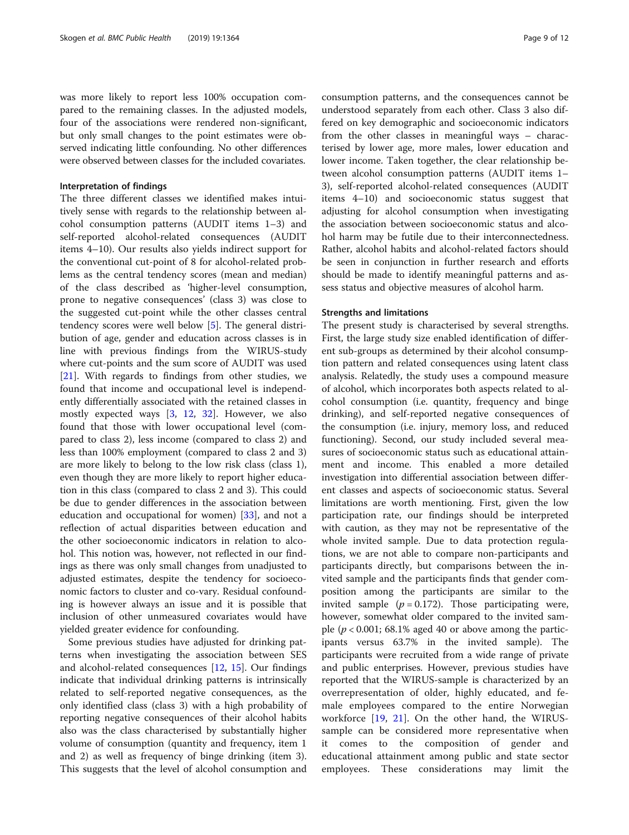was more likely to report less 100% occupation compared to the remaining classes. In the adjusted models, four of the associations were rendered non-significant, but only small changes to the point estimates were observed indicating little confounding. No other differences were observed between classes for the included covariates.

#### Interpretation of findings

The three different classes we identified makes intuitively sense with regards to the relationship between alcohol consumption patterns (AUDIT items 1–3) and self-reported alcohol-related consequences (AUDIT items 4–10). Our results also yields indirect support for the conventional cut-point of 8 for alcohol-related problems as the central tendency scores (mean and median) of the class described as 'higher-level consumption, prone to negative consequences' (class 3) was close to the suggested cut-point while the other classes central tendency scores were well below [\[5](#page-10-0)]. The general distribution of age, gender and education across classes is in line with previous findings from the WIRUS-study where cut-points and the sum score of AUDIT was used [[21\]](#page-11-0). With regards to findings from other studies, we found that income and occupational level is independently differentially associated with the retained classes in mostly expected ways [[3](#page-10-0), [12](#page-10-0), [32](#page-11-0)]. However, we also found that those with lower occupational level (compared to class 2), less income (compared to class 2) and less than 100% employment (compared to class 2 and 3) are more likely to belong to the low risk class (class 1), even though they are more likely to report higher education in this class (compared to class 2 and 3). This could be due to gender differences in the association between education and occupational for women) [[33\]](#page-11-0), and not a reflection of actual disparities between education and the other socioeconomic indicators in relation to alcohol. This notion was, however, not reflected in our findings as there was only small changes from unadjusted to adjusted estimates, despite the tendency for socioeconomic factors to cluster and co-vary. Residual confounding is however always an issue and it is possible that inclusion of other unmeasured covariates would have yielded greater evidence for confounding.

Some previous studies have adjusted for drinking patterns when investigating the association between SES and alcohol-related consequences [[12,](#page-10-0) [15\]](#page-10-0). Our findings indicate that individual drinking patterns is intrinsically related to self-reported negative consequences, as the only identified class (class 3) with a high probability of reporting negative consequences of their alcohol habits also was the class characterised by substantially higher volume of consumption (quantity and frequency, item 1 and 2) as well as frequency of binge drinking (item 3). This suggests that the level of alcohol consumption and

consumption patterns, and the consequences cannot be understood separately from each other. Class 3 also differed on key demographic and socioeconomic indicators from the other classes in meaningful ways – characterised by lower age, more males, lower education and lower income. Taken together, the clear relationship between alcohol consumption patterns (AUDIT items 1– 3), self-reported alcohol-related consequences (AUDIT items 4–10) and socioeconomic status suggest that adjusting for alcohol consumption when investigating the association between socioeconomic status and alcohol harm may be futile due to their interconnectedness. Rather, alcohol habits and alcohol-related factors should be seen in conjunction in further research and efforts should be made to identify meaningful patterns and assess status and objective measures of alcohol harm.

#### Strengths and limitations

The present study is characterised by several strengths. First, the large study size enabled identification of different sub-groups as determined by their alcohol consumption pattern and related consequences using latent class analysis. Relatedly, the study uses a compound measure of alcohol, which incorporates both aspects related to alcohol consumption (i.e. quantity, frequency and binge drinking), and self-reported negative consequences of the consumption (i.e. injury, memory loss, and reduced functioning). Second, our study included several measures of socioeconomic status such as educational attainment and income. This enabled a more detailed investigation into differential association between different classes and aspects of socioeconomic status. Several limitations are worth mentioning. First, given the low participation rate, our findings should be interpreted with caution, as they may not be representative of the whole invited sample. Due to data protection regulations, we are not able to compare non-participants and participants directly, but comparisons between the invited sample and the participants finds that gender composition among the participants are similar to the invited sample  $(p = 0.172)$ . Those participating were, however, somewhat older compared to the invited sample ( $p < 0.001$ ; 68.1% aged 40 or above among the participants versus 63.7% in the invited sample). The participants were recruited from a wide range of private and public enterprises. However, previous studies have reported that the WIRUS-sample is characterized by an overrepresentation of older, highly educated, and female employees compared to the entire Norwegian workforce [[19,](#page-11-0) [21](#page-11-0)]. On the other hand, the WIRUSsample can be considered more representative when it comes to the composition of gender and educational attainment among public and state sector employees. These considerations may limit the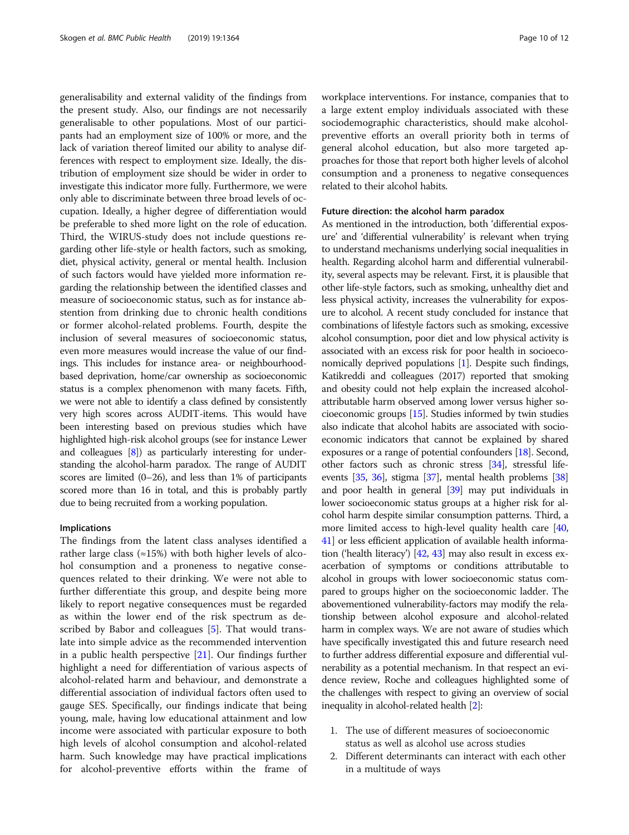generalisability and external validity of the findings from the present study. Also, our findings are not necessarily generalisable to other populations. Most of our participants had an employment size of 100% or more, and the lack of variation thereof limited our ability to analyse differences with respect to employment size. Ideally, the distribution of employment size should be wider in order to investigate this indicator more fully. Furthermore, we were only able to discriminate between three broad levels of occupation. Ideally, a higher degree of differentiation would be preferable to shed more light on the role of education. Third, the WIRUS-study does not include questions regarding other life-style or health factors, such as smoking, diet, physical activity, general or mental health. Inclusion of such factors would have yielded more information regarding the relationship between the identified classes and measure of socioeconomic status, such as for instance abstention from drinking due to chronic health conditions or former alcohol-related problems. Fourth, despite the inclusion of several measures of socioeconomic status, even more measures would increase the value of our findings. This includes for instance area- or neighbourhoodbased deprivation, home/car ownership as socioeconomic status is a complex phenomenon with many facets. Fifth, we were not able to identify a class defined by consistently very high scores across AUDIT-items. This would have been interesting based on previous studies which have highlighted high-risk alcohol groups (see for instance Lewer and colleagues [\[8\]](#page-10-0)) as particularly interesting for understanding the alcohol-harm paradox. The range of AUDIT scores are limited (0–26), and less than 1% of participants scored more than 16 in total, and this is probably partly due to being recruited from a working population.

#### Implications

The findings from the latent class analyses identified a rather large class  $(\approx 15\%)$  with both higher levels of alcohol consumption and a proneness to negative consequences related to their drinking. We were not able to further differentiate this group, and despite being more likely to report negative consequences must be regarded as within the lower end of the risk spectrum as described by Babor and colleagues [[5\]](#page-10-0). That would translate into simple advice as the recommended intervention in a public health perspective [[21\]](#page-11-0). Our findings further highlight a need for differentiation of various aspects of alcohol-related harm and behaviour, and demonstrate a differential association of individual factors often used to gauge SES. Specifically, our findings indicate that being young, male, having low educational attainment and low income were associated with particular exposure to both high levels of alcohol consumption and alcohol-related harm. Such knowledge may have practical implications for alcohol-preventive efforts within the frame of workplace interventions. For instance, companies that to a large extent employ individuals associated with these sociodemographic characteristics, should make alcoholpreventive efforts an overall priority both in terms of general alcohol education, but also more targeted approaches for those that report both higher levels of alcohol consumption and a proneness to negative consequences related to their alcohol habits.

#### Future direction: the alcohol harm paradox

As mentioned in the introduction, both 'differential exposure' and 'differential vulnerability' is relevant when trying to understand mechanisms underlying social inequalities in health. Regarding alcohol harm and differential vulnerability, several aspects may be relevant. First, it is plausible that other life-style factors, such as smoking, unhealthy diet and less physical activity, increases the vulnerability for exposure to alcohol. A recent study concluded for instance that combinations of lifestyle factors such as smoking, excessive alcohol consumption, poor diet and low physical activity is associated with an excess risk for poor health in socioeconomically deprived populations [[1\]](#page-10-0). Despite such findings, Katikreddi and colleagues (2017) reported that smoking and obesity could not help explain the increased alcoholattributable harm observed among lower versus higher socioeconomic groups [[15](#page-10-0)]. Studies informed by twin studies also indicate that alcohol habits are associated with socioeconomic indicators that cannot be explained by shared exposures or a range of potential confounders [[18](#page-11-0)]. Second, other factors such as chronic stress [[34](#page-11-0)], stressful lifeevents [[35](#page-11-0), [36\]](#page-11-0), stigma [[37](#page-11-0)], mental health problems [\[38](#page-11-0)] and poor health in general [\[39\]](#page-11-0) may put individuals in lower socioeconomic status groups at a higher risk for alcohol harm despite similar consumption patterns. Third, a more limited access to high-level quality health care [[40](#page-11-0), [41](#page-11-0)] or less efficient application of available health information ('health literacy') [[42](#page-11-0), [43\]](#page-11-0) may also result in excess exacerbation of symptoms or conditions attributable to alcohol in groups with lower socioeconomic status compared to groups higher on the socioeconomic ladder. The abovementioned vulnerability-factors may modify the relationship between alcohol exposure and alcohol-related harm in complex ways. We are not aware of studies which have specifically investigated this and future research need to further address differential exposure and differential vulnerability as a potential mechanism. In that respect an evidence review, Roche and colleagues highlighted some of the challenges with respect to giving an overview of social inequality in alcohol-related health [\[2](#page-10-0)]:

- 1. The use of different measures of socioeconomic status as well as alcohol use across studies
- 2. Different determinants can interact with each other in a multitude of ways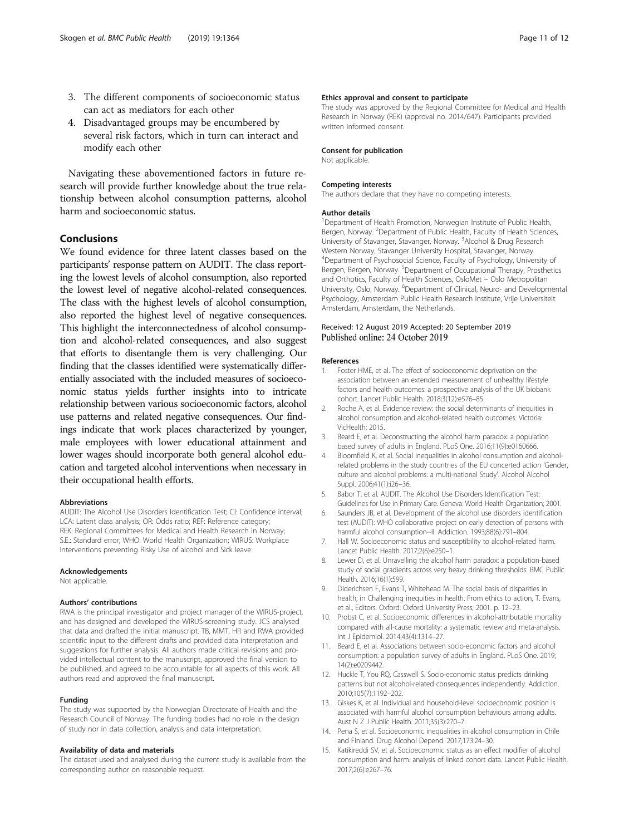- <span id="page-10-0"></span>3. The different components of socioeconomic status can act as mediators for each other
- 4. Disadvantaged groups may be encumbered by several risk factors, which in turn can interact and modify each other

Navigating these abovementioned factors in future research will provide further knowledge about the true relationship between alcohol consumption patterns, alcohol harm and socioeconomic status.

#### Conclusions

We found evidence for three latent classes based on the participants' response pattern on AUDIT. The class reporting the lowest levels of alcohol consumption, also reported the lowest level of negative alcohol-related consequences. The class with the highest levels of alcohol consumption, also reported the highest level of negative consequences. This highlight the interconnectedness of alcohol consumption and alcohol-related consequences, and also suggest that efforts to disentangle them is very challenging. Our finding that the classes identified were systematically differentially associated with the included measures of socioeconomic status yields further insights into to intricate relationship between various socioeconomic factors, alcohol use patterns and related negative consequences. Our findings indicate that work places characterized by younger, male employees with lower educational attainment and lower wages should incorporate both general alcohol education and targeted alcohol interventions when necessary in their occupational health efforts.

#### Abbreviations

AUDIT: The Alcohol Use Disorders Identification Test; CI: Confidence interval; LCA: Latent class analysis; OR: Odds ratio; REF: Reference category; REK: Regional Committees for Medical and Health Research in Norway; S.E.: Standard error; WHO: World Health Organization; WIRUS: Workplace Interventions preventing Risky Use of alcohol and Sick leave

#### Acknowledgements

Not applicable.

#### Authors' contributions

RWA is the principal investigator and project manager of the WIRUS-project, and has designed and developed the WIRUS-screening study. JCS analysed that data and drafted the initial manuscript. TB, MMT, HR and RWA provided scientific input to the different drafts and provided data interpretation and suggestions for further analysis. All authors made critical revisions and provided intellectual content to the manuscript, approved the final version to be published, and agreed to be accountable for all aspects of this work. All authors read and approved the final manuscript.

#### Funding

The study was supported by the Norwegian Directorate of Health and the Research Council of Norway. The funding bodies had no role in the design of study nor in data collection, analysis and data interpretation.

#### Availability of data and materials

The dataset used and analysed during the current study is available from the corresponding author on reasonable request.

The study was approved by the Regional Committee for Medical and Health Research in Norway (REK) (approval no. 2014/647). Participants provided written informed consent.

#### Consent for publication

Not applicable.

#### Competing interests

The authors declare that they have no competing interests.

#### Author details

<sup>1</sup>Department of Health Promotion, Norwegian Institute of Public Health Bergen, Norway. <sup>2</sup>Department of Public Health, Faculty of Health Sciences, University of Stavanger, Stavanger, Norway. <sup>3</sup> Alcohol & Drug Research Western Norway, Stavanger University Hospital, Stavanger, Norway. 4 Department of Psychosocial Science, Faculty of Psychology, University of Bergen, Bergen, Norway. <sup>5</sup>Department of Occupational Therapy, Prosthetics and Orthotics, Faculty of Health Sciences, OsloMet – Oslo Metropolitan University, Oslo, Norway. <sup>6</sup>Department of Clinical, Neuro- and Developmental Psychology, Amsterdam Public Health Research Institute, Vrije Universiteit Amsterdam, Amsterdam, the Netherlands.

#### Received: 12 August 2019 Accepted: 20 September 2019 Published online: 24 October 2019

#### References

- 1. Foster HME, et al. The effect of socioeconomic deprivation on the association between an extended measurement of unhealthy lifestyle factors and health outcomes: a prospective analysis of the UK biobank cohort. Lancet Public Health. 2018;3(12):e576–85.
- 2. Roche A, et al. Evidence review: the social determinants of inequities in alcohol consumption and alcohol-related health outcomes. Victoria: VicHealth; 2015.
- 3. Beard E, et al. Deconstructing the alcohol harm paradox: a population based survey of adults in England. PLoS One. 2016;11(9):e0160666.
- 4. Bloomfield K, et al. Social inequalities in alcohol consumption and alcoholrelated problems in the study countries of the EU concerted action 'Gender, culture and alcohol problems: a multi-national Study'. Alcohol Alcohol Suppl. 2006;41(1):i26–36.
- 5. Babor T, et al. AUDIT. The Alcohol Use Disorders Identification Test: Guidelines for Use in Primary Care. Geneva: World Health Organization; 2001.
- 6. Saunders JB, et al. Development of the alcohol use disorders identification test (AUDIT): WHO collaborative project on early detection of persons with harmful alcohol consumption--II. Addiction. 1993;88(6):791–804.
- 7. Hall W. Socioeconomic status and susceptibility to alcohol-related harm. Lancet Public Health. 2017;2(6):e250–1.
- 8. Lewer D, et al. Unravelling the alcohol harm paradox: a population-based study of social gradients across very heavy drinking thresholds. BMC Public Health. 2016;16(1):599.
- 9. Diderichsen F, Evans T, Whitehead M. The social basis of disparities in health, in Challenging inequities in health. From ethics to action, T. Evans, et al., Editors. Oxford: Oxford University Press; 2001. p. 12–23.
- 10. Probst C, et al. Socioeconomic differences in alcohol-attributable mortality compared with all-cause mortality: a systematic review and meta-analysis. Int J Epidemiol. 2014;43(4):1314–27.
- 11. Beard E, et al. Associations between socio-economic factors and alcohol consumption: a population survey of adults in England. PLoS One. 2019; 14(2):e0209442.
- 12. Huckle T, You RQ, Casswell S. Socio-economic status predicts drinking patterns but not alcohol-related consequences independently. Addiction. 2010;105(7):1192–202.
- 13. Giskes K, et al. Individual and household-level socioeconomic position is associated with harmful alcohol consumption behaviours among adults. Aust N Z J Public Health. 2011;35(3):270–7.
- 14. Pena S, et al. Socioeconomic inequalities in alcohol consumption in Chile and Finland. Drug Alcohol Depend. 2017;173:24–30.
- 15. Katikireddi SV, et al. Socioeconomic status as an effect modifier of alcohol consumption and harm: analysis of linked cohort data. Lancet Public Health. 2017;2(6):e267–76.